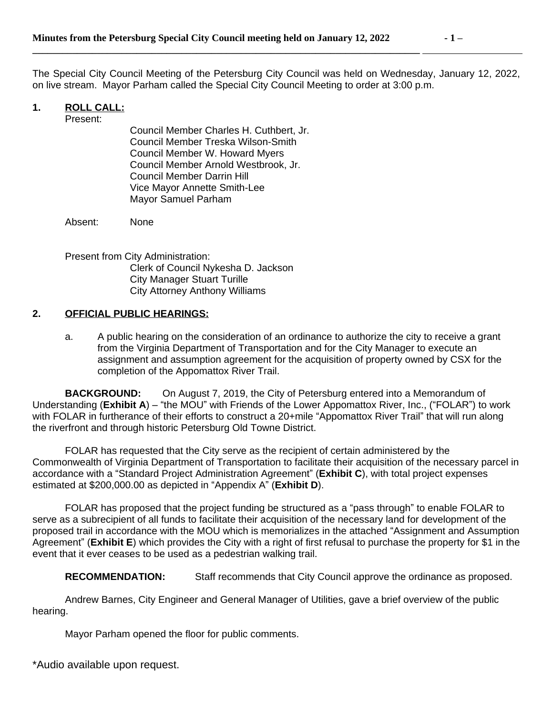The Special City Council Meeting of the Petersburg City Council was held on Wednesday, January 12, 2022, on live stream. Mayor Parham called the Special City Council Meeting to order at 3:00 p.m.

# **1. ROLL CALL:**

Present:

Council Member Charles H. Cuthbert, Jr. Council Member Treska Wilson-Smith Council Member W. Howard Myers Council Member Arnold Westbrook, Jr. Council Member Darrin Hill Vice Mayor Annette Smith-Lee Mayor Samuel Parham

Absent: None

Present from City Administration: Clerk of Council Nykesha D. Jackson City Manager Stuart Turille City Attorney Anthony Williams

### **2. OFFICIAL PUBLIC HEARINGS:**

a. A public hearing on the consideration of an ordinance to authorize the city to receive a grant from the Virginia Department of Transportation and for the City Manager to execute an assignment and assumption agreement for the acquisition of property owned by CSX for the completion of the Appomattox River Trail.

**BACKGROUND:** On August 7, 2019, the City of Petersburg entered into a Memorandum of Understanding (**Exhibit A**) – "the MOU" with Friends of the Lower Appomattox River, Inc., ("FOLAR") to work with FOLAR in furtherance of their efforts to construct a 20+mile "Appomattox River Trail" that will run along the riverfront and through historic Petersburg Old Towne District.

FOLAR has requested that the City serve as the recipient of certain administered by the Commonwealth of Virginia Department of Transportation to facilitate their acquisition of the necessary parcel in accordance with a "Standard Project Administration Agreement" (**Exhibit C**), with total project expenses estimated at \$200,000.00 as depicted in "Appendix A" (**Exhibit D**).

FOLAR has proposed that the project funding be structured as a "pass through" to enable FOLAR to serve as a subrecipient of all funds to facilitate their acquisition of the necessary land for development of the proposed trail in accordance with the MOU which is memorializes in the attached "Assignment and Assumption Agreement" (**Exhibit E**) which provides the City with a right of first refusal to purchase the property for \$1 in the event that it ever ceases to be used as a pedestrian walking trail.

**RECOMMENDATION:** Staff recommends that City Council approve the ordinance as proposed.

Andrew Barnes, City Engineer and General Manager of Utilities, gave a brief overview of the public hearing.

Mayor Parham opened the floor for public comments.

\*Audio available upon request.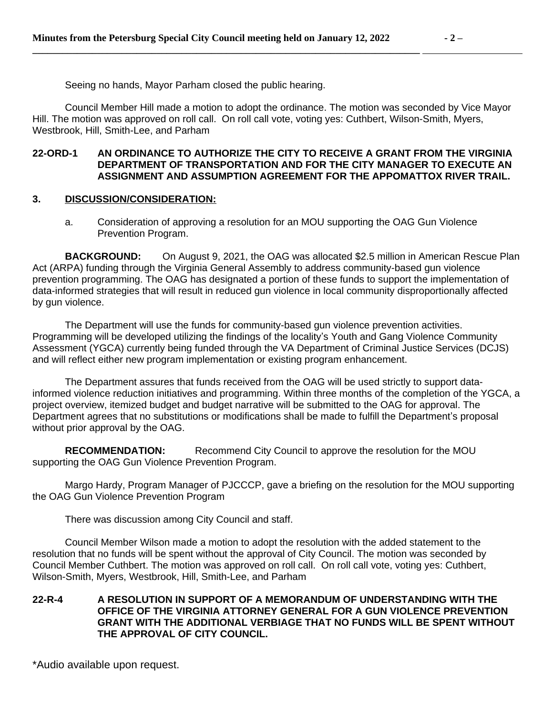Seeing no hands, Mayor Parham closed the public hearing.

Council Member Hill made a motion to adopt the ordinance. The motion was seconded by Vice Mayor Hill. The motion was approved on roll call. On roll call vote, voting yes: Cuthbert, Wilson-Smith, Myers, Westbrook, Hill, Smith-Lee, and Parham

#### **22-ORD-1 AN ORDINANCE TO AUTHORIZE THE CITY TO RECEIVE A GRANT FROM THE VIRGINIA DEPARTMENT OF TRANSPORTATION AND FOR THE CITY MANAGER TO EXECUTE AN ASSIGNMENT AND ASSUMPTION AGREEMENT FOR THE APPOMATTOX RIVER TRAIL.**

### **3. DISCUSSION/CONSIDERATION:**

a. Consideration of approving a resolution for an MOU supporting the OAG Gun Violence Prevention Program.

**BACKGROUND:** On August 9, 2021, the OAG was allocated \$2.5 million in American Rescue Plan Act (ARPA) funding through the Virginia General Assembly to address community-based gun violence prevention programming. The OAG has designated a portion of these funds to support the implementation of data-informed strategies that will result in reduced gun violence in local community disproportionally affected by gun violence.

The Department will use the funds for community-based gun violence prevention activities. Programming will be developed utilizing the findings of the locality's Youth and Gang Violence Community Assessment (YGCA) currently being funded through the VA Department of Criminal Justice Services (DCJS) and will reflect either new program implementation or existing program enhancement.

The Department assures that funds received from the OAG will be used strictly to support datainformed violence reduction initiatives and programming. Within three months of the completion of the YGCA, a project overview, itemized budget and budget narrative will be submitted to the OAG for approval. The Department agrees that no substitutions or modifications shall be made to fulfill the Department's proposal without prior approval by the OAG.

**RECOMMENDATION:** Recommend City Council to approve the resolution for the MOU supporting the OAG Gun Violence Prevention Program.

Margo Hardy, Program Manager of PJCCCP, gave a briefing on the resolution for the MOU supporting the OAG Gun Violence Prevention Program

There was discussion among City Council and staff.

Council Member Wilson made a motion to adopt the resolution with the added statement to the resolution that no funds will be spent without the approval of City Council. The motion was seconded by Council Member Cuthbert. The motion was approved on roll call. On roll call vote, voting yes: Cuthbert, Wilson-Smith, Myers, Westbrook, Hill, Smith-Lee, and Parham

# **22-R-4 A RESOLUTION IN SUPPORT OF A MEMORANDUM OF UNDERSTANDING WITH THE OFFICE OF THE VIRGINIA ATTORNEY GENERAL FOR A GUN VIOLENCE PREVENTION GRANT WITH THE ADDITIONAL VERBIAGE THAT NO FUNDS WILL BE SPENT WITHOUT THE APPROVAL OF CITY COUNCIL.**

\*Audio available upon request.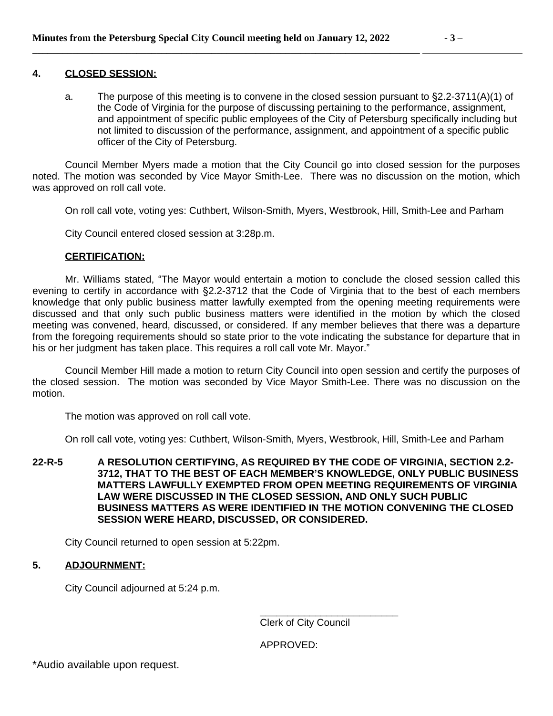# **4. CLOSED SESSION:**

a. The purpose of this meeting is to convene in the closed session pursuant to §2.2-3711(A)(1) of the Code of Virginia for the purpose of discussing pertaining to the performance, assignment, and appointment of specific public employees of the City of Petersburg specifically including but not limited to discussion of the performance, assignment, and appointment of a specific public officer of the City of Petersburg.

Council Member Myers made a motion that the City Council go into closed session for the purposes noted. The motion was seconded by Vice Mayor Smith-Lee. There was no discussion on the motion, which was approved on roll call vote.

On roll call vote, voting yes: Cuthbert, Wilson-Smith, Myers, Westbrook, Hill, Smith-Lee and Parham

City Council entered closed session at 3:28p.m.

#### **CERTIFICATION:**

Mr. Williams stated, "The Mayor would entertain a motion to conclude the closed session called this evening to certify in accordance with §2.2-3712 that the Code of Virginia that to the best of each members knowledge that only public business matter lawfully exempted from the opening meeting requirements were discussed and that only such public business matters were identified in the motion by which the closed meeting was convened, heard, discussed, or considered. If any member believes that there was a departure from the foregoing requirements should so state prior to the vote indicating the substance for departure that in his or her judgment has taken place. This requires a roll call vote Mr. Mayor."

Council Member Hill made a motion to return City Council into open session and certify the purposes of the closed session. The motion was seconded by Vice Mayor Smith-Lee. There was no discussion on the motion.

The motion was approved on roll call vote.

On roll call vote, voting yes: Cuthbert, Wilson-Smith, Myers, Westbrook, Hill, Smith-Lee and Parham

**22-R-5 A RESOLUTION CERTIFYING, AS REQUIRED BY THE CODE OF VIRGINIA, SECTION 2.2- 3712, THAT TO THE BEST OF EACH MEMBER'S KNOWLEDGE, ONLY PUBLIC BUSINESS MATTERS LAWFULLY EXEMPTED FROM OPEN MEETING REQUIREMENTS OF VIRGINIA LAW WERE DISCUSSED IN THE CLOSED SESSION, AND ONLY SUCH PUBLIC BUSINESS MATTERS AS WERE IDENTIFIED IN THE MOTION CONVENING THE CLOSED SESSION WERE HEARD, DISCUSSED, OR CONSIDERED.**

City Council returned to open session at 5:22pm.

#### **5. ADJOURNMENT:**

City Council adjourned at 5:24 p.m.

\_\_\_\_\_\_\_\_\_\_\_\_\_\_\_\_\_\_\_\_\_\_\_\_\_ Clerk of City Council

APPROVED: